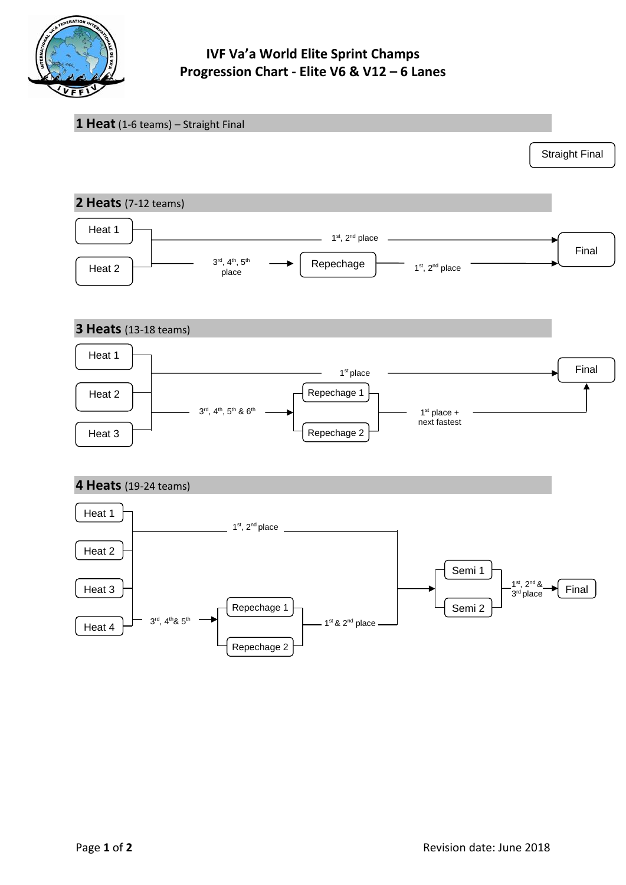

## **IVF Va'a World Elite Sprint Champs Progression Chart - Elite V6 & V12 – 6 Lanes**

| 1 Heat (1-6 teams) - Straight Final                                  |                                                                                                                                                                          |                                                               |
|----------------------------------------------------------------------|--------------------------------------------------------------------------------------------------------------------------------------------------------------------------|---------------------------------------------------------------|
|                                                                      |                                                                                                                                                                          | <b>Straight Final</b>                                         |
| 2 Heats (7-12 teams)                                                 |                                                                                                                                                                          |                                                               |
| Heat 1<br>Heat 2                                                     | 1 <sup>st</sup> , 2 <sup>nd</sup> place<br>$3^{\text{rd}}, 4^{\text{th}}, 5^{\text{th}}$<br>Repechage  <br>1 <sup>st</sup> , 2 <sup>nd</sup> place<br>place              | Final                                                         |
| <b>3 Heats</b> (13-18 teams)                                         |                                                                                                                                                                          |                                                               |
| Heat 1<br>Heat 2<br>Heat 3                                           | 1 <sup>st</sup> place<br>Repechage 1<br>$\frac{3^{rd}}{4^{th}}$ , $4^{th}$ , $5^{th}$ & $6^{th}$ $\frac{3^{rd}}{4^{th}}$<br>$1st$ place +<br>next fastest<br>Repechage 2 | Final                                                         |
| 4 Heats (19-24 teams)                                                |                                                                                                                                                                          |                                                               |
| Heat 1<br>Heat 2                                                     | ______ 1 <sup>st</sup> , 2 <sup>nd</sup> place ___________                                                                                                               |                                                               |
| Heat 3<br>$3^{\text{rd}}, 4^{\text{th}}$ & $5^{\text{th}}$<br>Heat 4 | Semi 1<br>Repechage 1<br>Semi 2<br>$-1$ <sup>st</sup> & 2 <sup>nd</sup> place -<br>Repechage 2                                                                           | $1st$ , $2nd$ &<br>$3rd$ place<br>$\blacktriangleright$ Final |